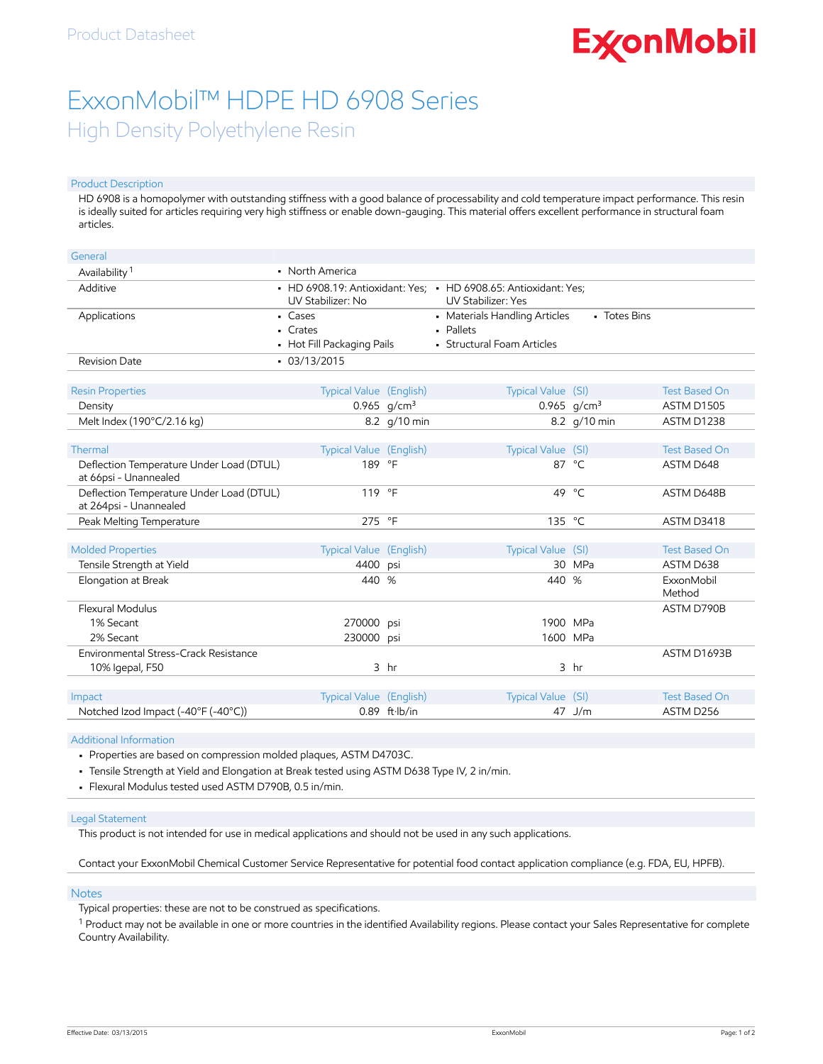# **ExconMobil**

## ExxonMobil™ HDPE HD 6908 Series High Density Polyethylene Resin

#### Product Description

HD 6908 is a homopolymer with outstanding stiffness with a good balance of processability and cold temperature impact performance. This resin is ideally suited for articles requiring very high stiffness or enable down-gauging. This material offers excellent performance in structural foam articles.

| General                                                            |                                                    |                         |                                                                                              |                           |                                           |
|--------------------------------------------------------------------|----------------------------------------------------|-------------------------|----------------------------------------------------------------------------------------------|---------------------------|-------------------------------------------|
| Availability <sup>1</sup>                                          | • North America                                    |                         |                                                                                              |                           |                                           |
| Additive                                                           | UV Stabilizer: No                                  |                         | • HD 6908.19: Antioxidant: Yes; • HD 6908.65: Antioxidant: Yes;<br><b>UV Stabilizer: Yes</b> |                           |                                           |
| Applications                                                       | • Cases<br>$-Crates$<br>• Hot Fill Packaging Pails |                         | • Materials Handling Articles<br>• Pallets<br>• Structural Foam Articles                     | • Totes Bins              |                                           |
| <b>Revision Date</b>                                               | $-03/13/2015$                                      |                         |                                                                                              |                           |                                           |
| <b>Resin Properties</b><br>Density                                 | Typical Value (English)                            | 0.965 $q/cm^3$          | Typical Value (SI)                                                                           | $0.965$ g/cm <sup>3</sup> | <b>Test Based On</b><br><b>ASTM D1505</b> |
| Melt Index (190°C/2.16 kg)                                         |                                                    | 8.2 g/10 min            |                                                                                              | 8.2 g/10 min              | ASTM D1238                                |
|                                                                    |                                                    |                         |                                                                                              |                           |                                           |
| Thermal                                                            | Typical Value (English)                            |                         | Typical Value (SI)                                                                           |                           | <b>Test Based On</b>                      |
| Deflection Temperature Under Load (DTUL)<br>at 66psi - Unannealed  | 189 °F                                             |                         |                                                                                              | 87 °C                     | ASTM D648                                 |
| Deflection Temperature Under Load (DTUL)<br>at 264psi - Unannealed | 119 °F                                             |                         | 49                                                                                           | $^{\circ}$ C              | ASTM D648B                                |
| Peak Melting Temperature                                           | 275 °F                                             |                         | 135 °C                                                                                       |                           | ASTM D3418                                |
|                                                                    |                                                    |                         |                                                                                              |                           |                                           |
| <b>Molded Properties</b>                                           | Typical Value (English)                            |                         | Typical Value (SI)                                                                           |                           | <b>Test Based On</b>                      |
| Tensile Strength at Yield                                          | 4400                                               | psi                     |                                                                                              | 30 MPa                    | ASTM D638                                 |
| Elongation at Break                                                | 440                                                | %                       | 440 %                                                                                        |                           | ExxonMobil<br>Method                      |
| Flexural Modulus                                                   |                                                    |                         |                                                                                              |                           | ASTM D790B                                |
| 1% Secant                                                          | 270000 psi                                         |                         | 1900 MPa                                                                                     |                           |                                           |
| 2% Secant                                                          | 230000                                             | psi                     | 1600 MPa                                                                                     |                           |                                           |
| Environmental Stress-Crack Resistance                              |                                                    |                         |                                                                                              |                           | ASTM D1693B                               |
| 10% Igepal, F50                                                    |                                                    | 3 <sub>hr</sub>         |                                                                                              | 3 <sub>hr</sub>           |                                           |
|                                                                    |                                                    |                         |                                                                                              |                           |                                           |
| Impact                                                             | <b>Typical Value (English)</b>                     |                         | Typical Value (SI)                                                                           |                           | <b>Test Based On</b>                      |
| Notched Izod Impact (-40°F (-40°C))                                |                                                    | $0.89$ ft $\cdot$ lb/in |                                                                                              | 47 J/m                    | ASTM D256                                 |

#### Additional Information

• Properties are based on compression molded plaques, ASTM D4703C.

• Tensile Strength at Yield and Elongation at Break tested using ASTM D638 Type IV, 2 in/min.

• Flexural Modulus tested used ASTM D790B, 0.5 in/min.

#### Legal Statement

This product is not intended for use in medical applications and should not be used in any such applications.

Contact your ExxonMobil Chemical Customer Service Representative for potential food contact application compliance (e.g. FDA, EU, HPFB).

#### Notes

Typical properties: these are not to be construed as specifications.

 $^1$  Product may not be available in one or more countries in the identified Availability regions. Please contact your Sales Representative for complete Country Availability.